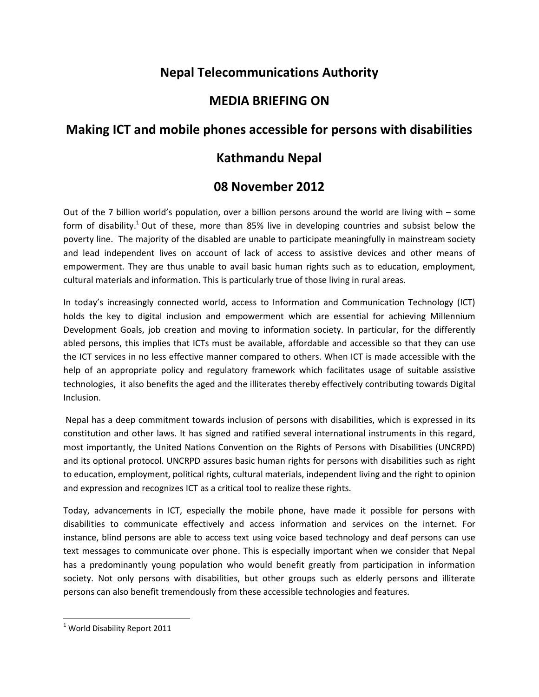# **Nepal Telecommunications Authority**

## **MEDIA BRIEFING ON**

## **Making ICT and mobile phones accessible for persons with disabilities**

## **Kathmandu Nepal**

## **08 November 2012**

Out of the 7 billion world's population, over a billion persons around the world are living with – some form of disability.<sup>1</sup> Out of these, more than 85% live in developing countries and subsist below the poverty line. The majority of the disabled are unable to participate meaningfully in mainstream society and lead independent lives on account of lack of access to assistive devices and other means of empowerment. They are thus unable to avail basic human rights such as to education, employment, cultural materials and information. This is particularly true of those living in rural areas.

In today's increasingly connected world, access to Information and Communication Technology (ICT) holds the key to digital inclusion and empowerment which are essential for achieving Millennium Development Goals, job creation and moving to information society. In particular, for the differently abled persons, this implies that ICTs must be available, affordable and accessible so that they can use the ICT services in no less effective manner compared to others. When ICT is made accessible with the help of an appropriate policy and regulatory framework which facilitates usage of suitable assistive technologies, it also benefits the aged and the illiterates thereby effectively contributing towards Digital Inclusion.

Nepal has a deep commitment towards inclusion of persons with disabilities, which is expressed in its constitution and other laws. It has signed and ratified several international instruments in this regard, most importantly, the United Nations Convention on the Rights of Persons with Disabilities (UNCRPD) and its optional protocol. UNCRPD assures basic human rights for persons with disabilities such as right to education, employment, political rights, cultural materials, independent living and the right to opinion and expression and recognizes ICT as a critical tool to realize these rights.

Today, advancements in ICT, especially the mobile phone, have made it possible for persons with disabilities to communicate effectively and access information and services on the internet. For instance, blind persons are able to access text using voice based technology and deaf persons can use text messages to communicate over phone. This is especially important when we consider that Nepal has a predominantly young population who would benefit greatly from participation in information society. Not only persons with disabilities, but other groups such as elderly persons and illiterate persons can also benefit tremendously from these accessible technologies and features.

 $\overline{\phantom{a}}$ 

 $1$  World Disability Report 2011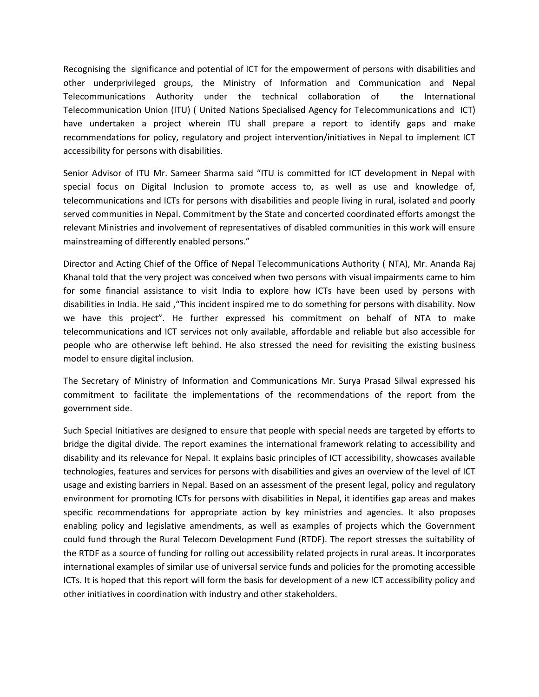Recognising the significance and potential of ICT for the empowerment of persons with disabilities and other underprivileged groups, the Ministry of Information and Communication and Nepal Telecommunications Authority under the technical collaboration of the International Telecommunication Union (ITU) ( United Nations Specialised Agency for Telecommunications and ICT) have undertaken a project wherein ITU shall prepare a report to identify gaps and make recommendations for policy, regulatory and project intervention/initiatives in Nepal to implement ICT accessibility for persons with disabilities.

Senior Advisor of ITU Mr. Sameer Sharma said "ITU is committed for ICT development in Nepal with special focus on Digital Inclusion to promote access to, as well as use and knowledge of, telecommunications and ICTs for persons with disabilities and people living in rural, isolated and poorly served communities in Nepal. Commitment by the State and concerted coordinated efforts amongst the relevant Ministries and involvement of representatives of disabled communities in this work will ensure mainstreaming of differently enabled persons."

Director and Acting Chief of the Office of Nepal Telecommunications Authority ( NTA), Mr. Ananda Raj Khanal told that the very project was conceived when two persons with visual impairments came to him for some financial assistance to visit India to explore how ICTs have been used by persons with disabilities in India. He said ,"This incident inspired me to do something for persons with disability. Now we have this project". He further expressed his commitment on behalf of NTA to make telecommunications and ICT services not only available, affordable and reliable but also accessible for people who are otherwise left behind. He also stressed the need for revisiting the existing business model to ensure digital inclusion.

The Secretary of Ministry of Information and Communications Mr. Surya Prasad Silwal expressed his commitment to facilitate the implementations of the recommendations of the report from the government side.

Such Special Initiatives are designed to ensure that people with special needs are targeted by efforts to bridge the digital divide. The report examines the international framework relating to accessibility and disability and its relevance for Nepal. It explains basic principles of ICT accessibility, showcases available technologies, features and services for persons with disabilities and gives an overview of the level of ICT usage and existing barriers in Nepal. Based on an assessment of the present legal, policy and regulatory environment for promoting ICTs for persons with disabilities in Nepal, it identifies gap areas and makes specific recommendations for appropriate action by key ministries and agencies. It also proposes enabling policy and legislative amendments, as well as examples of projects which the Government could fund through the Rural Telecom Development Fund (RTDF). The report stresses the suitability of the RTDF as a source of funding for rolling out accessibility related projects in rural areas. It incorporates international examples of similar use of universal service funds and policies for the promoting accessible ICTs. It is hoped that this report will form the basis for development of a new ICT accessibility policy and other initiatives in coordination with industry and other stakeholders.